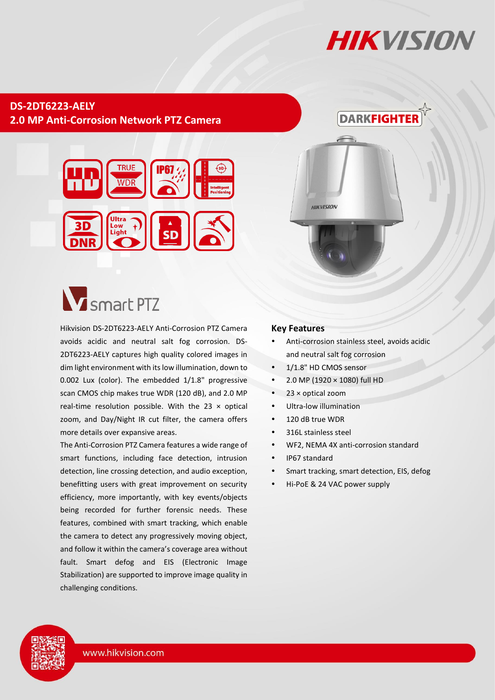## **HIKVISION**

**DARKFIGHTER** 

## **DS-2DT6223-AELY 2.0 MP Anti-Corrosion Network PTZ Camera**



## **V** smart PTZ

Hikvision DS-2DT6223-AELY Anti-Corrosion PTZ Camera avoids acidic and neutral salt fog corrosion. DS-2DT6223-AELY captures high quality colored images in dim light environment with its low illumination, down to 0.002 Lux (color). The embedded 1/1.8" progressive scan CMOS chip makes true WDR (120 dB), and 2.0 MP real-time resolution possible. With the 23  $\times$  optical zoom, and Day/Night IR cut filter, the camera offers more details over expansive areas.

The Anti-Corrosion PTZ Camera features a wide range of smart functions, including face detection, intrusion detection, line crossing detection, and audio exception, benefitting users with great improvement on security efficiency, more importantly, with key events/objects being recorded for further forensic needs. These features, combined with smart tracking, which enable the camera to detect any progressively moving object, and follow it within the camera's coverage area without fault. Smart defog and EIS (Electronic Image Stabilization) are supported to improve image quality in challenging conditions.

#### **Key Features**

- Anti-corrosion stainless steel, avoids acidic and neutral salt fog corrosion
- 1/1.8" HD CMOS sensor

**HIKVISION** 

- $\bullet$  2.0 MP (1920  $\times$  1080) full HD
- 23 × optical zoom
- Ultra-low illumination
- $\bullet$  120 dB true WDR
- 316L stainless steel
- WF2, NEMA 4X anti-corrosion standard
- IP67 standard
- Smart tracking, smart detection, EIS, defog
- Hi-PoE & 24 VAC power supply

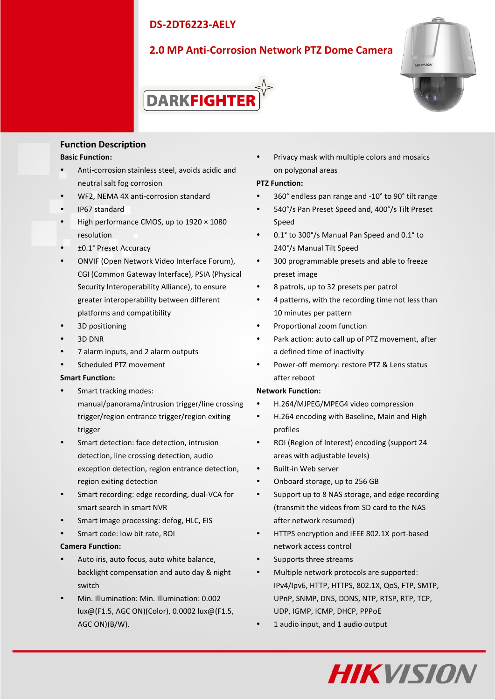## **2.0 MP Anti-Corrosion Network PTZ Dome Camera**



# **DARKFIGHTEI**

#### **Function Description**

#### **Basic Function:**

- Anti-corrosion stainless steel, avoids acidic and neutral salt fog corrosion
- WF2, NEMA 4X anti-corrosion standard
- IP67 standard
- High performance CMOS, up to 1920 × 1080 resolution
- ±0.1° Preset Accuracy
- ONVIF (Open Network Video Interface Forum), CGI (Common Gateway Interface), PSIA (Physical Security Interoperability Alliance), to ensure greater interoperability between different platforms and compatibility
- 3D positioning
- 3D DNR
- 7 alarm inputs, and 2 alarm outputs
- Scheduled PTZ movement

#### **Smart Function:**

- Smart tracking modes: manual/panorama/intrusion trigger/line crossing trigger/region entrance trigger/region exiting trigger
- Smart detection: face detection, intrusion detection, line crossing detection, audio exception detection, region entrance detection, region exiting detection
- Smart recording: edge recording, dual-VCA for smart search in smart NVR
- Smart image processing: defog, HLC, EIS
- Smart code: low bit rate, ROI

#### **Camera Function:**

- Auto iris, auto focus, auto white balance, backlight compensation and auto day & night switch
- Min. Illumination: Min. Illumination: 0.002 lux@(F1.5, AGC ON)(Color), 0.0002 lux@(F1.5, AGC ON)(B/W).

 Privacy mask with multiple colors and mosaics on polygonal areas

#### **PTZ Function:**

- 360° endless pan range and -10°to 90° tilt range
- 540°/s Pan Preset Speed and, 400°/s Tilt Preset Speed
- 0.1°to 300°/s Manual Pan Speed and 0.1°to 240°/s Manual Tilt Speed
- 300 programmable presets and able to freeze preset image
- 8 patrols, up to 32 presets per patrol
- 4 patterns, with the recording time not less than 10 minutes per pattern
- Proportional zoom function
- Park action: auto call up of PTZ movement, after a defined time of inactivity
- Power-off memory: restore PTZ & Lens status after reboot

#### **Network Function:**

- H.264/MJPEG/MPEG4 video compression
- H.264 encoding with Baseline, Main and High profiles
- ROI (Region of Interest) encoding (support 24 areas with adjustable levels)
- Built-in Web server
- Onboard storage, up to 256 GB
- Support up to 8 NAS storage, and edge recording (transmit the videos from SD card to the NAS after network resumed)
- HTTPS encryption and IEEE 802.1X port-based network access control
- Supports three streams
- Multiple network protocols are supported: IPv4/Ipv6, HTTP, HTTPS, 802.1X, QoS, FTP, SMTP, UPnP, SNMP, DNS, DDNS, NTP, RTSP, RTP, TCP, UDP, IGMP, ICMP, DHCP, PPPoE
- 1 audio input, and 1 audio output

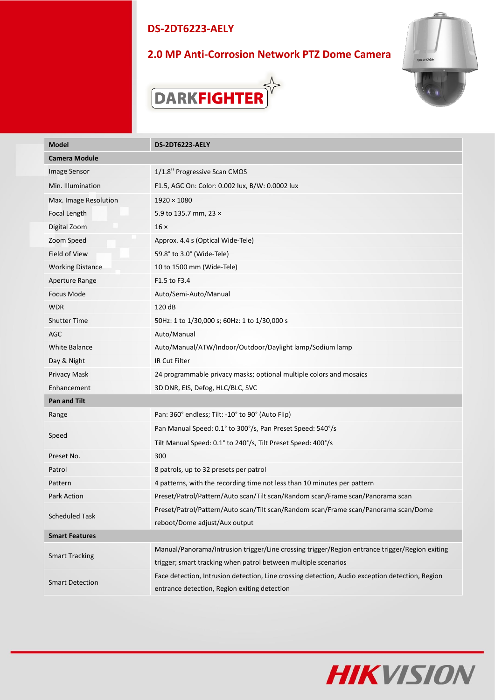## **2.0 MP Anti-Corrosion Network PTZ Dome Camera**





| <b>Model</b>            | DS-2DT6223-AELY                                                                                 |  |
|-------------------------|-------------------------------------------------------------------------------------------------|--|
| <b>Camera Module</b>    |                                                                                                 |  |
| Image Sensor            | 1/1.8" Progressive Scan CMOS                                                                    |  |
| Min. Illumination       | F1.5, AGC On: Color: 0.002 lux, B/W: 0.0002 lux                                                 |  |
| Max. Image Resolution   | $1920 \times 1080$                                                                              |  |
| Focal Length            | 5.9 to 135.7 mm, 23 ×                                                                           |  |
| Digital Zoom            | $16 \times$                                                                                     |  |
| Zoom Speed              | Approx. 4.4 s (Optical Wide-Tele)                                                               |  |
| Field of View           | 59.8° to 3.0° (Wide-Tele)                                                                       |  |
| <b>Working Distance</b> | 10 to 1500 mm (Wide-Tele)                                                                       |  |
| Aperture Range          | F1.5 to F3.4                                                                                    |  |
| <b>Focus Mode</b>       | Auto/Semi-Auto/Manual                                                                           |  |
| <b>WDR</b>              | 120 dB                                                                                          |  |
| <b>Shutter Time</b>     | 50Hz: 1 to 1/30,000 s; 60Hz: 1 to 1/30,000 s                                                    |  |
| AGC                     | Auto/Manual                                                                                     |  |
| <b>White Balance</b>    | Auto/Manual/ATW/Indoor/Outdoor/Daylight lamp/Sodium lamp                                        |  |
| Day & Night             | IR Cut Filter                                                                                   |  |
| Privacy Mask            | 24 programmable privacy masks; optional multiple colors and mosaics                             |  |
| Enhancement             | 3D DNR, EIS, Defog, HLC/BLC, SVC                                                                |  |
| Pan and Tilt            |                                                                                                 |  |
| Range                   | Pan: 360° endless; Tilt: -10° to 90° (Auto Flip)                                                |  |
| Speed                   | Pan Manual Speed: 0.1° to 300°/s, Pan Preset Speed: 540°/s                                      |  |
|                         | Tilt Manual Speed: 0.1° to 240°/s, Tilt Preset Speed: 400°/s                                    |  |
| Preset No.              | 300                                                                                             |  |
| Patrol                  | 8 patrols, up to 32 presets per patrol                                                          |  |
| Pattern                 | 4 patterns, with the recording time not less than 10 minutes per pattern                        |  |
| <b>Park Action</b>      | Preset/Patrol/Pattern/Auto scan/Tilt scan/Random scan/Frame scan/Panorama scan                  |  |
| <b>Scheduled Task</b>   | Preset/Patrol/Pattern/Auto scan/Tilt scan/Random scan/Frame scan/Panorama scan/Dome             |  |
|                         | reboot/Dome adjust/Aux output                                                                   |  |
| <b>Smart Features</b>   |                                                                                                 |  |
| <b>Smart Tracking</b>   | Manual/Panorama/Intrusion trigger/Line crossing trigger/Region entrance trigger/Region exiting  |  |
|                         | trigger; smart tracking when patrol between multiple scenarios                                  |  |
| <b>Smart Detection</b>  | Face detection, Intrusion detection, Line crossing detection, Audio exception detection, Region |  |
|                         | entrance detection, Region exiting detection                                                    |  |

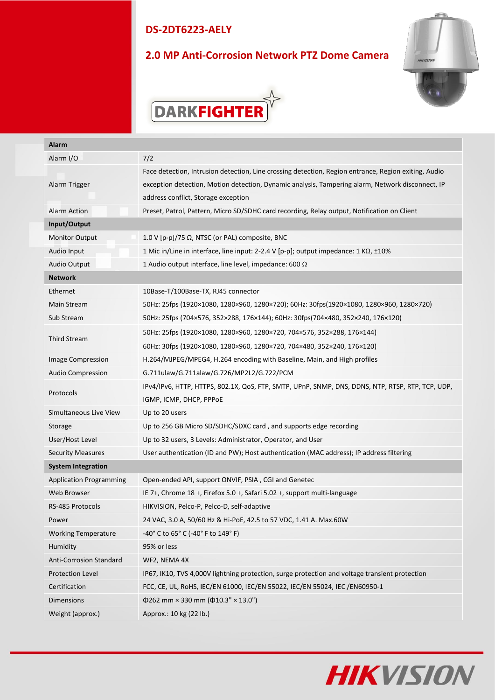## **2.0 MP Anti-Corrosion Network PTZ Dome Camera**





| Alarm                          |                                                                                                      |  |
|--------------------------------|------------------------------------------------------------------------------------------------------|--|
| Alarm I/O                      | 7/2                                                                                                  |  |
|                                | Face detection, Intrusion detection, Line crossing detection, Region entrance, Region exiting, Audio |  |
| Alarm Trigger                  | exception detection, Motion detection, Dynamic analysis, Tampering alarm, Network disconnect, IP     |  |
|                                | address conflict, Storage exception                                                                  |  |
| Alarm Action                   | Preset, Patrol, Pattern, Micro SD/SDHC card recording, Relay output, Notification on Client          |  |
| Input/Output                   |                                                                                                      |  |
| <b>Monitor Output</b>          | 1.0 V [p-p]/75 $\Omega$ , NTSC (or PAL) composite, BNC                                               |  |
| Audio Input                    | 1 Mic in/Line in interface, line input: 2-2.4 V [p-p]; output impedance: 1 KΩ, ±10%                  |  |
| Audio Output                   | 1 Audio output interface, line level, impedance: 600 $\Omega$                                        |  |
| <b>Network</b>                 |                                                                                                      |  |
| Ethernet                       | 10Base-T/100Base-TX, RJ45 connector                                                                  |  |
| Main Stream                    | 50Hz: 25fps (1920×1080, 1280×960, 1280×720); 60Hz: 30fps(1920×1080, 1280×960, 1280×720)              |  |
| Sub Stream                     | 50Hz: 25fps (704×576, 352×288, 176×144); 60Hz: 30fps(704×480, 352×240, 176×120)                      |  |
| Third Stream                   | 50Hz: 25fps (1920×1080, 1280×960, 1280×720, 704×576, 352×288, 176×144)                               |  |
|                                | 60Hz: 30fps (1920×1080, 1280×960, 1280×720, 704×480, 352×240, 176×120)                               |  |
| Image Compression              | H.264/MJPEG/MPEG4, H.264 encoding with Baseline, Main, and High profiles                             |  |
| Audio Compression              | G.711ulaw/G.711alaw/G.726/MP2L2/G.722/PCM                                                            |  |
| Protocols                      | IPv4/IPv6, HTTP, HTTPS, 802.1X, QoS, FTP, SMTP, UPnP, SNMP, DNS, DDNS, NTP, RTSP, RTP, TCP, UDP,     |  |
|                                | IGMP, ICMP, DHCP, PPPOE                                                                              |  |
| Simultaneous Live View         | Up to 20 users                                                                                       |  |
| Storage                        | Up to 256 GB Micro SD/SDHC/SDXC card, and supports edge recording                                    |  |
| User/Host Level                | Up to 32 users, 3 Levels: Administrator, Operator, and User                                          |  |
| <b>Security Measures</b>       | User authentication (ID and PW); Host authentication (MAC address); IP address filtering             |  |
| <b>System Integration</b>      |                                                                                                      |  |
| <b>Application Programming</b> | Open-ended API, support ONVIF, PSIA, CGI and Genetec                                                 |  |
| Web Browser                    | IE 7+, Chrome 18 +, Firefox 5.0 +, Safari 5.02 +, support multi-language                             |  |
| RS-485 Protocols               | HIKVISION, Pelco-P, Pelco-D, self-adaptive                                                           |  |
| Power                          | 24 VAC, 3.0 A, 50/60 Hz & Hi-PoE, 42.5 to 57 VDC, 1.41 A. Max.60W                                    |  |
| <b>Working Temperature</b>     | -40° C to 65° C (-40° F to 149° F)                                                                   |  |
| Humidity                       | 95% or less                                                                                          |  |
| Anti-Corrosion Standard        | WF2, NEMA 4X                                                                                         |  |
| <b>Protection Level</b>        | IP67, IK10, TVS 4,000V lightning protection, surge protection and voltage transient protection       |  |
| Certification                  | FCC, CE, UL, RoHS, IEC/EN 61000, IEC/EN 55022, IEC/EN 55024, IEC /EN60950-1                          |  |
| Dimensions                     | $\Phi$ 262 mm × 330 mm ( $\Phi$ 10.3" × 13.0")                                                       |  |
| Weight (approx.)               | Approx.: 10 kg (22 lb.)                                                                              |  |